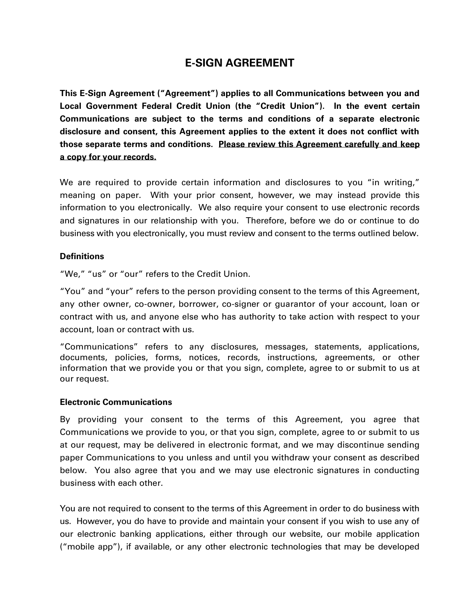# **E-SIGN AGREEMENT**

**This E-Sign Agreement ("Agreement") applies to all Communications between you and Local Government Federal Credit Union (the "Credit Union"). In the event certain Communications are subject to the terms and conditions of a separate electronic disclosure and consent, this Agreement applies to the extent it does not conflict with those separate terms and conditions. Please review this Agreement carefully and keep a copy for your records.**

We are required to provide certain information and disclosures to you "in writing," meaning on paper. With your prior consent, however, we may instead provide this information to you electronically. We also require your consent to use electronic records and signatures in our relationship with you. Therefore, before we do or continue to do business with you electronically, you must review and consent to the terms outlined below.

#### **Definitions**

"We," "us" or "our" refers to the Credit Union.

"You" and "your" refers to the person providing consent to the terms of this Agreement, any other owner, co-owner, borrower, co-signer or guarantor of your account, loan or contract with us, and anyone else who has authority to take action with respect to your account, loan or contract with us.

"Communications" refers to any disclosures, messages, statements, applications, documents, policies, forms, notices, records, instructions, agreements, or other information that we provide you or that you sign, complete, agree to or submit to us at our request.

#### **Electronic Communications**

By providing your consent to the terms of this Agreement, you agree that Communications we provide to you, or that you sign, complete, agree to or submit to us at our request, may be delivered in electronic format, and we may discontinue sending paper Communications to you unless and until you withdraw your consent as described below. You also agree that you and we may use electronic signatures in conducting business with each other.

You are not required to consent to the terms of this Agreement in order to do business with us. However, you do have to provide and maintain your consent if you wish to use any of our electronic banking applications, either through our website, our mobile application ("mobile app"), if available, or any other electronic technologies that may be developed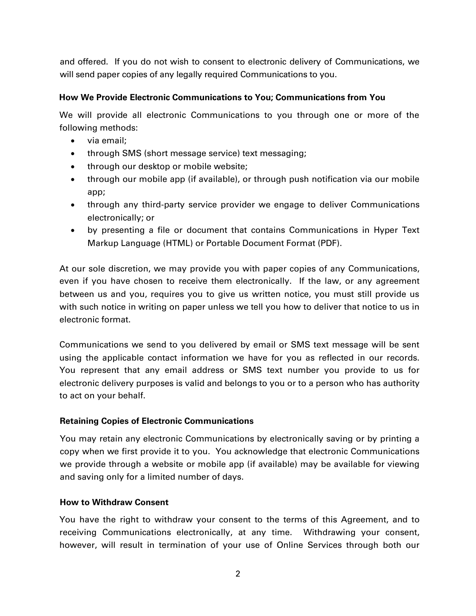and offered. If you do not wish to consent to electronic delivery of Communications, we will send paper copies of any legally required Communications to you.

# **How We Provide Electronic Communications to You; Communications from You**

We will provide all electronic Communications to you through one or more of the following methods:

- via email;
- through SMS (short message service) text messaging;
- through our desktop or mobile website;
- through our mobile app (if available), or through push notification via our mobile app;
- through any third-party service provider we engage to deliver Communications electronically; or
- by presenting a file or document that contains Communications in Hyper Text Markup Language (HTML) or Portable Document Format (PDF).

At our sole discretion, we may provide you with paper copies of any Communications, even if you have chosen to receive them electronically. If the law, or any agreement between us and you, requires you to give us written notice, you must still provide us with such notice in writing on paper unless we tell you how to deliver that notice to us in electronic format.

Communications we send to you delivered by email or SMS text message will be sent using the applicable contact information we have for you as reflected in our records. You represent that any email address or SMS text number you provide to us for electronic delivery purposes is valid and belongs to you or to a person who has authority to act on your behalf.

# **Retaining Copies of Electronic Communications**

You may retain any electronic Communications by electronically saving or by printing a copy when we first provide it to you. You acknowledge that electronic Communications we provide through a website or mobile app (if available) may be available for viewing and saving only for a limited number of days.

# **How to Withdraw Consent**

You have the right to withdraw your consent to the terms of this Agreement, and to receiving Communications electronically, at any time. Withdrawing your consent, however, will result in termination of your use of Online Services through both our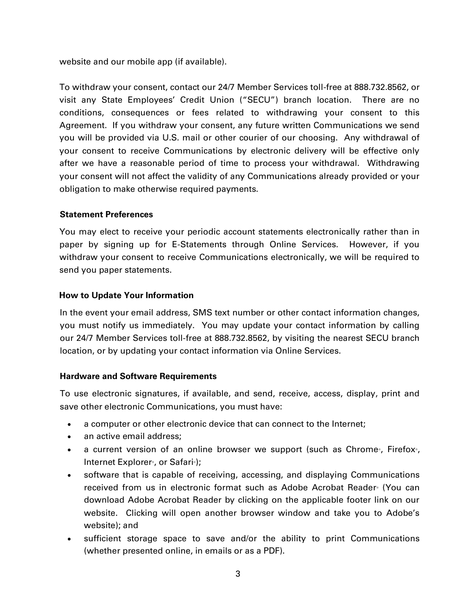website and our mobile app (if available).

To withdraw your consent, contact our 24/7 Member Services toll-free at 888.732.8562, or visit any State Employees' Credit Union ("SECU") branch location. There are no conditions, consequences or fees related to withdrawing your consent to this Agreement. If you withdraw your consent, any future written Communications we send you will be provided via U.S. mail or other courier of our choosing. Any withdrawal of your consent to receive Communications by electronic delivery will be effective only after we have a reasonable period of time to process your withdrawal. Withdrawing your consent will not affect the validity of any Communications already provided or your obligation to make otherwise required payments.

## **Statement Preferences**

You may elect to receive your periodic account statements electronically rather than in paper by signing up for E-Statements through Online Services. However, if you withdraw your consent to receive Communications electronically, we will be required to send you paper statements.

## **How to Update Your Information**

In the event your email address, SMS text number or other contact information changes, you must notify us immediately. You may update your contact information by calling our 24/7 Member Services toll-free at 888.732.8562, by visiting the nearest SECU branch location, or by updating your contact information via Online Services.

#### **Hardware and Software Requirements**

To use electronic signatures, if available, and send, receive, access, display, print and save other electronic Communications, you must have:

- a computer or other electronic device that can connect to the Internet;
- an active email address;
- a current version of an online browser we support (such as Chrome®, Firefox®, Internet Explorer<sup>®</sup>, or Safari<sup>®</sup>);
- software that is capable of receiving, accessing, and displaying Communications received from us in electronic format such as Adobe Acrobat Reader® (You can download Adobe Acrobat Reader by clicking on the applicable footer link on our website. Clicking will open another browser window and take you to Adobe's website); and
- sufficient storage space to save and/or the ability to print Communications (whether presented online, in emails or as a PDF).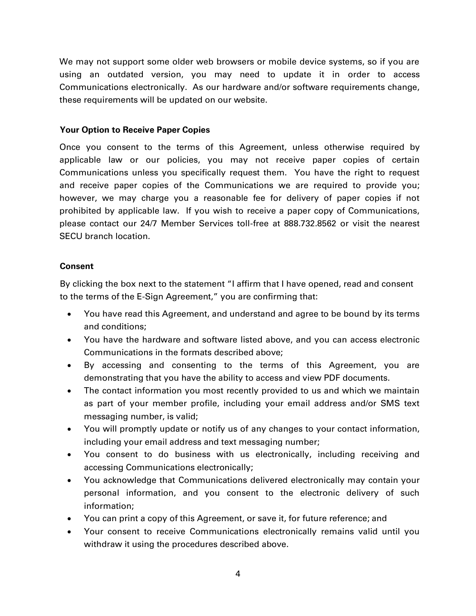We may not support some older web browsers or mobile device systems, so if you are using an outdated version, you may need to update it in order to access Communications electronically. As our hardware and/or software requirements change, these requirements will be updated on our website.

#### **Your Option to Receive Paper Copies**

Once you consent to the terms of this Agreement, unless otherwise required by applicable law or our policies, you may not receive paper copies of certain Communications unless you specifically request them. You have the right to request and receive paper copies of the Communications we are required to provide you; however, we may charge you a reasonable fee for delivery of paper copies if not prohibited by applicable law. If you wish to receive a paper copy of Communications, please contact our 24/7 Member Services toll-free at 888.732.8562 or visit the nearest SECU branch location.

#### **Consent**

By clicking the box next to the statement "I affirm that I have opened, read and consent to the terms of the E-Sign Agreement," you are confirming that:

- You have read this Agreement, and understand and agree to be bound by its terms and conditions;
- You have the hardware and software listed above, and you can access electronic Communications in the formats described above;
- By accessing and consenting to the terms of this Agreement, you are demonstrating that you have the ability to access and view PDF documents.
- The contact information you most recently provided to us and which we maintain as part of your member profile, including your email address and/or SMS text messaging number, is valid;
- You will promptly update or notify us of any changes to your contact information, including your email address and text messaging number;
- You consent to do business with us electronically, including receiving and accessing Communications electronically;
- You acknowledge that Communications delivered electronically may contain your personal information, and you consent to the electronic delivery of such information;
- You can print a copy of this Agreement, or save it, for future reference; and
- Your consent to receive Communications electronically remains valid until you withdraw it using the procedures described above.